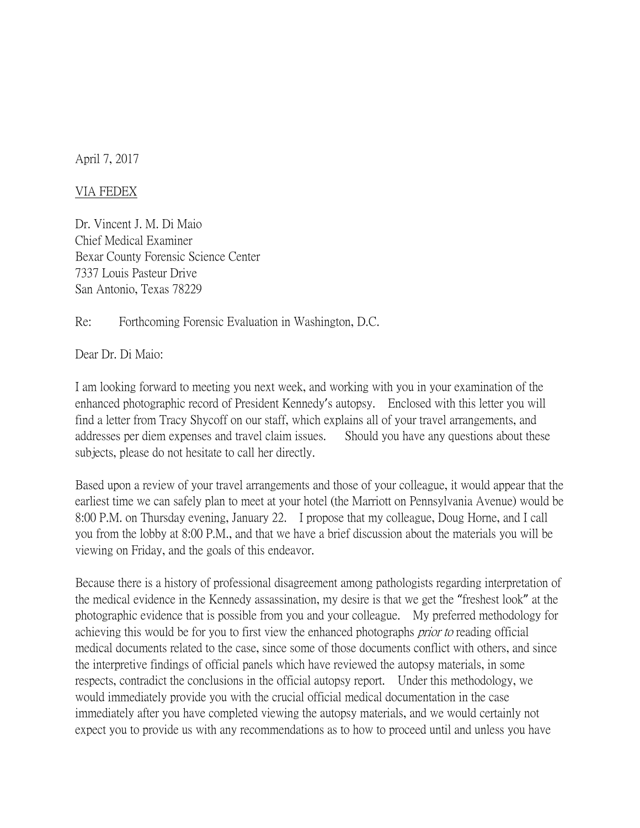April 7, 2017

## VIA FEDEX

Dr. Vincent J. M. Di Maio Chief Medical Examiner Bexar County Forensic Science Center 7337 Louis Pasteur Drive San Antonio, Texas 78229

Re: Forthcoming Forensic Evaluation in Washington, D.C.

Dear Dr. Di Maio:

I am looking forward to meeting you next week, and working with you in your examination of the enhanced photographic record of President Kennedy's autopsy. Enclosed with this letter you will find a letter from Tracy Shycoff on our staff, which explains all of your travel arrangements, and addresses per diem expenses and travel claim issues. Should you have any questions about these subjects, please do not hesitate to call her directly.

Based upon a review of your travel arrangements and those of your colleague, it would appear that the earliest time we can safely plan to meet at your hotel (the Marriott on Pennsylvania Avenue) would be 8:00 P.M. on Thursday evening, January 22. I propose that my colleague, Doug Horne, and I call you from the lobby at 8:00 P.M., and that we have a brief discussion about the materials you will be viewing on Friday, and the goals of this endeavor.

Because there is a history of professional disagreement among pathologists regarding interpretation of the medical evidence in the Kennedy assassination, my desire is that we get the "freshest look" at the photographic evidence that is possible from you and your colleague. My preferred methodology for achieving this would be for you to first view the enhanced photographs *prior to* reading official medical documents related to the case, since some of those documents conflict with others, and since the interpretive findings of official panels which have reviewed the autopsy materials, in some respects, contradict the conclusions in the official autopsy report. Under this methodology, we would immediately provide you with the crucial official medical documentation in the case immediately after you have completed viewing the autopsy materials, and we would certainly not expect you to provide us with any recommendations as to how to proceed until and unless you have